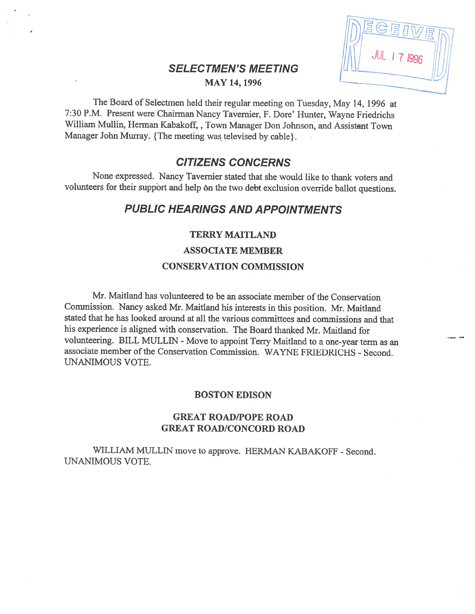## SELECTMEN'S MEETING **MAY 14, 1996**

**JUL 17 1991** 

The Board of Selectmen held their regular meeting on Tuesday, May 14, <sup>1996</sup> at 7:30 P.M. Present were Chairman Nancy Tavemier, F. Dore' Hunter, Wayne Friedrichs William Mullin, Herman Kabakoff, , Town Manager Don Johnson, and Assistant Town Manager John Murray. {The meeting was televised by cable}.

# CITIZENS CONCERNS

None expressed. Nancy Tavemier stated that she would like to thank voters and volunteers for their support and help on the two debt exclusion override ballot questions.

# PUBLIC HEARINGS AND APPOINTMENTS

## **TERRY MAITLAND**

### ASSOCIATE MEMBER

### CONSERVATION COMMISSION

Mr. Maitland has volunteered to be an associate member of the Conservation Commission. Nancy asked Mr. Maitland his interests in this position. Mr. Maitland stated that he has looked around at all the various committees and commissions and that his experience is aligned with conservation. The Board thanked Mr. Maitland for volunteering. BILL MULLIN - Move to appoint Terry Maitland to a one-year term as an associate member of the Conservation Commission. WAYNE FRIEDRICHS - Second. UNANIMOUS VOTE.

### BOSTON EDISON

## GREAT ROAD/POPE ROAD GREAT ROAD/CONCORD ROAD

WILLIAM MULLIN move to approve. HERMAN KABAKOFF - Second. UNANIMOUS VOTE.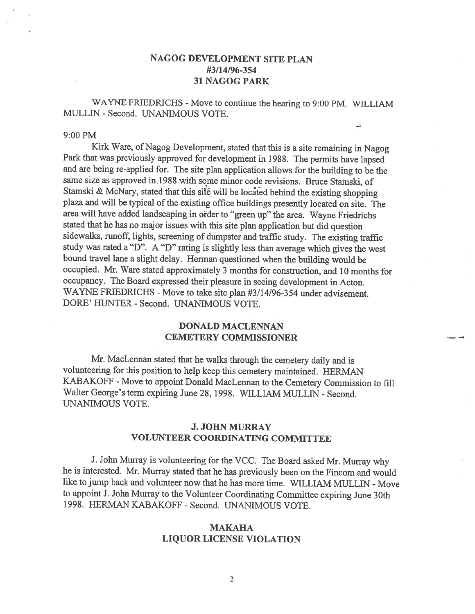## NAGOG DEVELOPMENT SITE PLAN #3/14/96-354 31 NAGOG PARK

WAYNE FRIEDRICHS - Move to continue the hearing to 9:00 PM. WILLIAM MULLIN - Second. UNANIMOUS VOTE.

### 9:00PM

Kirk Ware, of Nagog Development, stated that this is <sup>a</sup> site remaining in Nagog Park that was previously approved for development in 1988. The permits have lapsed and are being re-applied for. The site <sup>p</sup>lan application allows for the building to be the same size as approved in.1988 with some minor code revisions. Bruce Stamski, of Stamski & McNary, stated that this site will be located behind the existing shopping plaza and will be typical of the existing office buildings presently located on site. The area will have added landscaping in otder to "green up" the area. Wayne Friedrichs stated that he has no major issues with this site <sup>p</sup>ian application but did question sidewalks, runoff, lights, screening of dumpster and traffic study. The existing traffic study was rated <sup>a</sup> "D". <sup>A</sup> "D" rating is slightly less than average which <sup>g</sup>ives the west bound travel lane <sup>a</sup> slight delay. Herman questioned when the building would be occupied. Mr. Ware stated approximately <sup>3</sup> months for construction, and <sup>10</sup> months for occupancy. The Board expressed their <sup>p</sup>leasure in seeing development in Acton. WAYNE FRIEDRICHS - Move to take site plan #3/14/96-354 under advisement. DORE' HUNTER - Second. UNANIMOUS VOTE.

## DONALD MACLENNAN CEMETERY COMMISSIONER

Mr. MacLennan stated that he walks through the cemetery daily and is volunteering for this position to help keep this cemetery maintained. HERMAN KABAKOFF - Move to appoint Donald MacLennan to the Cemetery Commission to fill Walter George's term expiring June 28, 1998. WILLIAM MULLIN - Second. UNANIMOUS VOTE.

## J. JOHN MURRAY VOLUNTEER COORDINATING COMMITTEE

J. John Murray is volunteering for the VCC. The Board asked Mr. Murray why he is interested. Mr. Murray stated that he has previously been on the Fincom and would like to jump back and volunteer now that he has more time. WILLIAM MULLIN - Move to appoint J. John Murray to the Volunteer Coordinating Committee expiring June 30th 1998. HERMAN KABAKOFF - Second. UNANIMOUS VOTE.

### MAKAHA LIQUOR LICENSE VIOLATION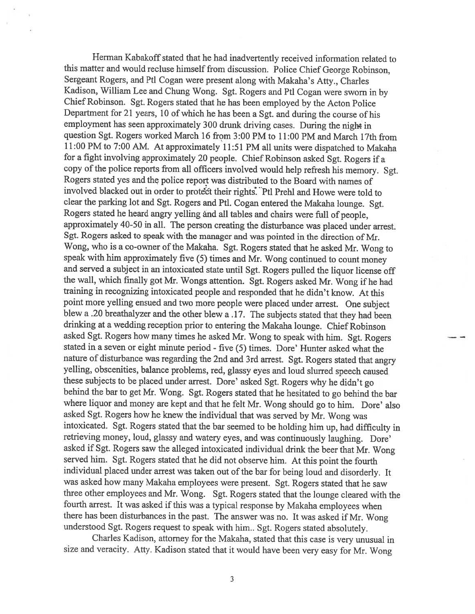Herman Kabakoff stated that he had inadvertently received information related to this matter and would recluse himself from discussion. Police Chief George Robinson, Sergeant Rogers, and Ptl Cogan were present along with Makaha's Atty., Charles Kadison, William Lee and Chung Wong. Sgt. Rogers and Ptl Cogan were sworn in by Chief Robinson. Sgt. Rogers stated that he has been employed by the Acton Police Department for <sup>21</sup> years, <sup>10</sup> of which he has been <sup>a</sup> Sgt. and during the course of his employment has seen approximately <sup>300</sup> drunk driving cases. During the night in question \$gt. Rogers worked March 16 from 3:00 PM to 11:00 PM and March 17th from 11:00 PM to 7:00 AM. At approximately 11:51 PM all units were dispatched to Makaha for <sup>a</sup> fight involving approximately <sup>20</sup> people. Chief Robinson asked Sgt. Rogers if <sup>a</sup> Rogers stated yes and the police report was distributed to the Board with names of involved blacked out in order to protect their rights. Ptl Prehl and Howe were told to clear the parking lot and Sgt. Rogers and Pt!. Cogan entered the Makaha lounge. Sgt. Rogers stated he heard angry yelling and all tables and chairs were full of people, approximately 40-50 in all. The person creating the disturbance was <sup>p</sup>laced under arrest. Sgt. Rogers asked to speak with the manager and was pointed in the direction of Mr. Wong, who is <sup>a</sup> co-owner of the Makaha. Sgt. Rogers stated that he asked Mr. Wong to speak with him approximately five (5) times and Mr. Wong continued to count money and served <sup>a</sup> subject in an intoxicated state until Sgt. Rogers pulled the liquor license off the wall, which finally got Mr. Wongs attention. Sgt. Rogers asked Mr. Wong if he had training in recognizing intoxicated people and responded that he didn't know. At this point more yelling ensued and two more people were <sup>p</sup>laced under arrest. One subject blew <sup>a</sup> .20 breathalyzer and the other blew <sup>a</sup> .17. The subjects stated that they had been drinking at <sup>a</sup> wedding reception prior to entering the Makaha lounge. Chief Robinson asked Sgt. Rogers how many times he asked Mr. Wong to speak with him. Sgt. Rogers stated in <sup>a</sup> seven or eight minute period - five (5) times. Dore' Hunter asked what the nature of disturbance was regarding the 2nd and 3rd arrest. Sgt. Rogers stated that angry yelling, obscenities, balance problems, red, <sup>g</sup>lassy eyes and loud slurred speech caused these subjects to be <sup>p</sup>laced under arrest. Dore' asked Sgt. Rogers why he didn't go behind the bar to get Mr. Wong. Sgt. Rogers stated that he hesitated to go behind the bar where liquor and money are kept and that he felt Mr. Wong should go to him. Dore' also asked Sgt. Rogers how he knew the individual that was served by Mr. Wong was intoxicated. Sgt. Rogers stated that the bar seemed to be holding him up, had difficulty in retrieving money, loud, <sup>g</sup>lassy and watery eyes, and was continuously laughing. Dore' asked if Sgt. Rogers saw the alleged intoxicated individual drink the beer that Mr. Wong served him. Sgt. Rogers stated that he did not observe him. At this point the fourth individual placed under arrest was taken out of the bar for being loud and disorderly. It was asked how many Makaha employees were present. Sgt. Rogers stated that he saw three other employees and Mr. Wong. Sgt. Rogers stated that the lounge cleared with the fourth arrest. It was asked if this was a typical response by Makaha employees when there has been disturbances in the past. The answer was no. It was asked if Mr. Wong understood Sgt. Rogers request to speak with him.. Sgt. Rogers stated absolutely.

Charles Kadison, attorney for the Makaha, stated that this case is very unusual in size and veracity. Atty. Kadison stated that it would have been very easy for Mr. Wong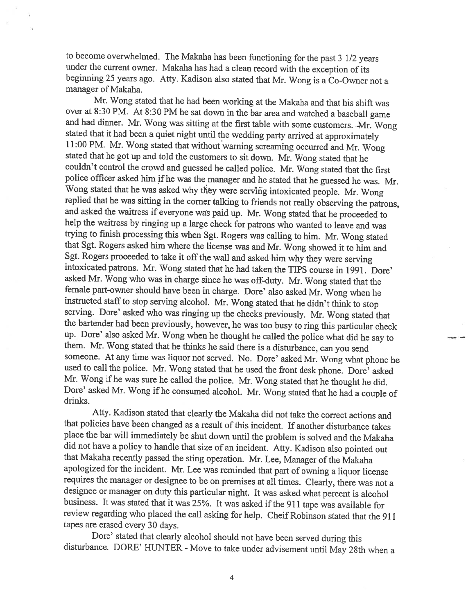to become overwhelmed. The Makaha has been functioning for the past <sup>3</sup> 1/2 years under the current owner. Makaha has had <sup>a</sup> clean record with the exception of its beginning <sup>25</sup> years ago. Atty. Kadison also stated that Mr. Wong is <sup>a</sup> Co-Owner not <sup>a</sup> manager of Makaha.

Mr. Wong stated that he had been working at the Makaha and that his shift was over at 8:30 PM. At 8:30 PM he sat down in the bar area and watched a baseball game and had dinner. Mr. Wong was sitting at the first table with some customers. Mr. Wong<br>stated that it had been a quiet night until the wedding party arrived at approximately<br>11:00 PM. Mr. Wong stated that without warning sc couldn't control the crowd and guessed he called police. Mr. Wong stated that the first police officer asked him if he was the manager and he stated that he guessed he was. Mr. Wong stated that he was asked why they were serving intoxicated people. Mr. Wong replied that he was sitting in the corner talking to friends not really observing the patrons, and asked the waitress if everyone was paid up. Mr. Wong stated that he proceeded to help the waitress by ringing up a large check for patrons who wanted to leave and was trying to finish processing this when Sgt. Rogers w help the waitress by ringing up a large check for patrons who wanted to leave and was that Sgt. Rogers asked him where the license was and Mr. Wong showed it to him and Sgt. Rogers proceeded to take it off the wall and asked him why they were serving intoxicated patrons. Mr. Wong stated that he had taken th female part-owner should have been in charge. Dore' also asked Mr. Wong when he instructed staff to stop serving alcohol. Mr. Wong stated that he didn't think to stop serving. Dore' asked who was ringing up the checks prev them. Mr. Wong stated that he thinks he said there is a disturbance, can you send someone. At any time was liquor not served. No. Dore' asked Mr. Wong what phone he used to call the police. Mr. Wong stated that he used the front desk phone. Dore' asked Mr. Wong if he was sure he called the police. Mr. Wong stated that he thought he did. Dore' asked Mr. Wong if he consumed alcohol. Mr. Wong stated that he had a couple of drinks.

Atty. Kadison stated that clearly the Makaha did not take the correct actions and that policies have been changed as <sup>a</sup> result of this incident. If another disturbance takes <sup>p</sup>lace the bar will immediately be shut down until the problem is solved and the Makaha that Makaha recently passed the sting operation. Mr. Lee, Manager of the Makaha apologized for the incident. Mr. Lee was reminded that part of owning a liquor license requires the manager or designee to be on premises at all times. Clearly, there was not a designee or manager on duty this particular night. It was asked what percent is alcohol business. It was stated that it was 25%. It was asked if the 911 tape was available for review regarding who <sup>p</sup>laced the call asking for help. Cheif Robinson stated that the <sup>911</sup> tapes are erased every 30 days.

Dore' stated that clearly alcohol should not have been served during this disturbance. DORE' HUNTER - Move to take under advisement until May 28th when a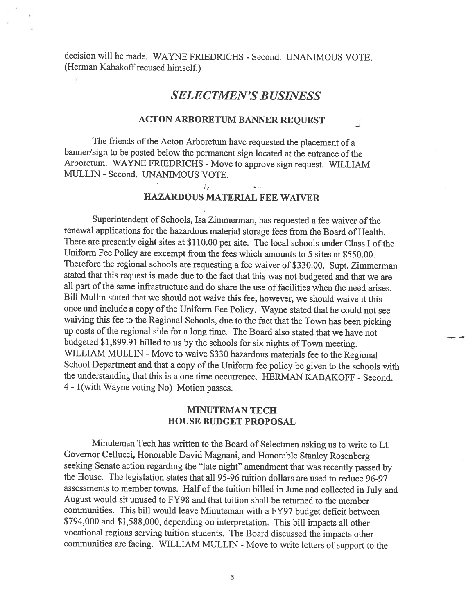decision will be made. WAYNE FRIEDRICHS - Second. UNANIMOUS VOTE. (Herman Kabakoff recused himself.)

## SELECTMEN'S BUSINESS

## ACTON ARBORETUM BANNER REQUEST

The friends of the Acton Arboretum have requested the <sup>p</sup>lacement of <sup>a</sup> banner/sign to be posted below the permanent sign located at the entrance of the Arboretum. WAYNE FRIEDRICHS - Move to approve sign request. WILLIAM MULLIN - Second. UNANIMOUS VOTE.

32

## HAZARDOUS MATERIAL FEE WAIVER

Superintendent of Schools, Isa Zimmerman, has requested a fee waiver of the renewal applications for the hazardous material storage fees from the Board of Health. There are presently eight sites at \$1 10.00 per site. The local schools under Class <sup>I</sup> of the Uniform fee Policy are excempt from the fees which amounts to <sup>5</sup> sites at \$550.00. Therefore the regional schools are requesting <sup>a</sup> fee waiver of \$330.00. Supt. Zimmerman stated that this request is made due to the fact that this was not budgeted and that we are all part of the same infrastructure and do share the use of facilities when the need arises. Bill Mullin stated that we should not waive this fee, however, we should waive it this once and include a copy of the Uniform Fee Policy. Wayne stated that he could not see waiving this fee to the Regional Schools, due to the fact that the Town has been <sup>p</sup>icking up costs of the regional side for a long time. The Board also stated that we have not budgeted \$1,899.91 billed to us by the schools for six nights of Town meeting. WILLIAM MULLIN - Move to waive \$330 hazardous materials fee to the Regional School Department and that a copy of the Uniform fee policy be given to the schools with the understanding that this is <sup>a</sup> one time occurrence. HERMAN KABAKOFF - Second. <sup>4</sup> - 1(with Wayne voting No) Motion passes.

## MINUTEMAN TECH HOUSE BUDGET PROPOSAL

Minuteman Tech has written to the Board of Selectmen asking us to write to Lt. Governor Cellucci, Honorable David Magnani, and Honorable Stanley Rosenberg seeking Senate action regarding the "late night" amendment that was recently passed by the House. The legislation states that all 95-96 tuition dollars are used to reduce 96-97 assessments to member towns. Half of the tuition billed in June and collected in July and August would sit unused to FY98 and that tuition shall be returned to the member communities. This bill would leave Minuteman with <sup>a</sup> FY97 budget deficit between \$794,000 and \$1,588,000, depending on interpretation. This bill impacts all other vocational regions serving tuition students. The Board discussed the impacts other communities are facing. WILLIAM MULLIN - Move to write letters of support to the

5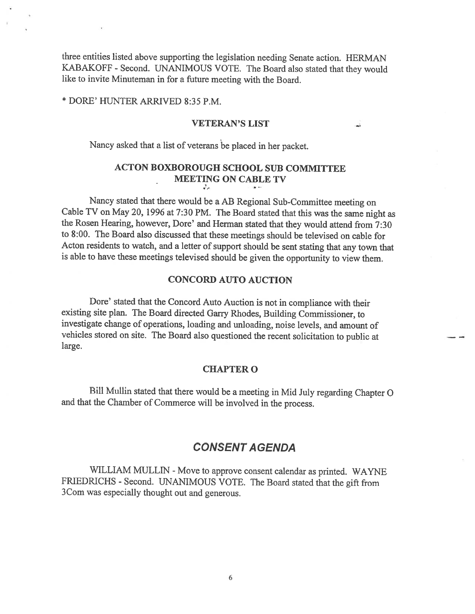three entities listed above supporting the legislation needing Senate action. HERMAN KABAKOFF - Second. UNANIMOUS VOTE. The Board also stated that they would like to invite Minuteman in for <sup>a</sup> future meeting with the Board.

\* DORE' HUNTER ARRIVED 8:35 P.M.

### VETERAN'S LIST

Nancy asked that <sup>a</sup> list of veterans be <sup>p</sup>laced in her packet.

#### ACTON BOXBOROUGH SCHOOL SUB COMMITTEE MEETING ON CABLE TV  $\mathcal{J}_{\mathcal{E}^+}$

Nancy stated that there would be <sup>a</sup> AB Regional Sub-Committee meeting on Cable TV on May 20, <sup>1996</sup> at 7:30 PM. The Board stated that this was the same night as the Rosen Hearing, however, Dore' and Herman stated that they would attend from 7:30 to 8:00. The Board also discussed that these meetings should be televised on cable for Acton residents to watch, and a letter of support should be sent stating that any town that is able to have these meetings televised should be <sup>g</sup>iven the opportunity to view them.

### CONCORD AUTO AUCTION

Dore' stated that the Concord Auto Auction is not in compliance with their existing site <sup>p</sup>lan. The Board directed Garry Rhodes, Building Commissioner, to investigate change of operations, loading and unloading, noise levels, and amount of vehicles stored on site. The Board also questioned the recent solicitation to public at large.

#### CHAPTER 0

Bill Mullin stated that there would be <sup>a</sup> meeting in Mid July regarding Chapter <sup>0</sup> and that the Chamber of Commerce will be involved in the process.

## CONSENT A GENDA

WILLIAM MULLIN - Move to approve consent calendar as printed. WAYNE FRIEDRICHS - Second. UNANIMOUS VOTE. The Board stated that the gift from 3Com was especially thought out and generous.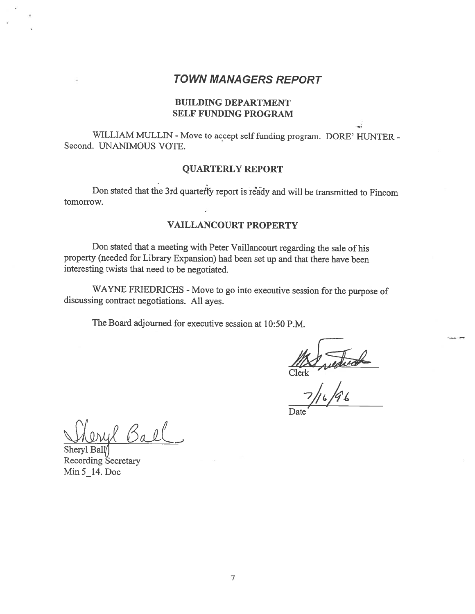## TOWN MANAGERS REPORT

## BUILDING DEPARTMENT SELF FUNDING PROGRAM

WILLIAM MULLIN - Move to accept self funding program. DORE' HUNTER -Second. UNANIMOUS VOTE.

## QUARTERLY REPORT

Don stated that the 3rd quarterly report is ready and will be transmitted to Fincom tomorrow.

## VAILLANCOURT PROPERTY

Don stated that <sup>a</sup> meeting with Peter Vaillancourt regarding the sale of his property (needed for Library Expansion) had been set up and that there have been interesting twists that need to be negotiated.

WAYNE FRIEDRICHS - Move to go into executive session for the purpose of discussing contract negotiations. All ayes.

The Board adjourned for executive session at 10:50 P.M.

Ma reductor

Date<sup>-</sup>

Ball

Sheryl Ball/3 Recording Secretary Min 5 14. Doc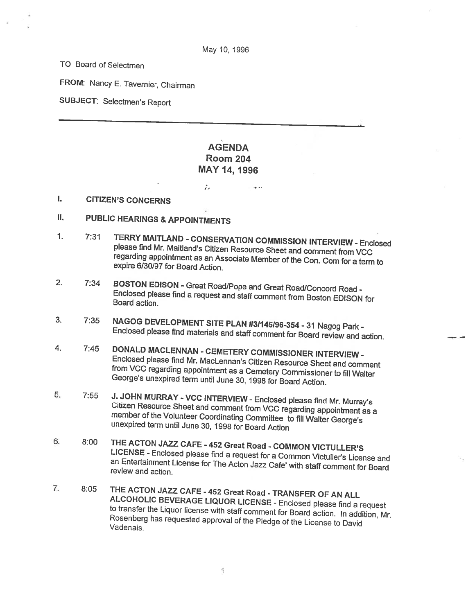TO Board of Selectmen

FROM: Nancy E. Tavernier, Chairman

SUBJECT: Selectmen's Report

## AGENDA Room 204 MAY 14, 1996

 $\mathcal{J}_\mu$ 

I. CITIZEN'S CONCERNS

- IL PUBLIC HEARINGS & APPOINTMENTS
- 1. 7:31 TERRY MAITLAND CONSERVATION COMMISSION INTERVIEW Enclosed<br>please find Mr. Maitland's Citizen Resource Sheet and comment from VCC Fregarding appointment as an Associate Member of the Con. Com for a term to expire 6/30/97 for Board Action.
- 2. 7:34 BOSTON EDISON Great Road/Pope and Great Road/Concord Road -<br>Enclosed please find a request and staff comment from Boston EDISON for<br>Board action.
- 3. 7:35 NAGOG DEVELOPMENT SITE PLAN #31145196-354 -31 Nagog Park Enclosed <sup>p</sup>lease find materials and staff comment for Board review and action.
- 4. 7:45 DONALD MACLENNAN CEMETERY COMMISSIONER INTERVIEW -<br>Enclosed please find Mr. MacLennan's Citizen Resource Sheet and comment<br>from VCC regarding appointment as a Cemetery Commissioner to fill Walter<br>George's unexpir
- 5. 7:55 J. JOHN MURRAY VCC INTERVIEW Enclosed please find Mr. Murray's<br>Citizen Resource Sheet and comment from VCC regarding appointment as a member Citizen Resource Sheet and comment from VCC regarding appointment as a<br>member of the Volunteer Coordinating Committee to fill Walter George's<br>unexpired term until June 30, 1998 for Board Action
- 6. 8:00 THE ACTON JAZZ CAFE 452 Great Road COMMON VICTULLER'S LICENSE - Enclosed please find a request for a Common Victuller's License and an Entertainment License for The Acton Jazz Cafe' with staff comment for Board review and action.
- 7. 8:05 THE ACTON JAZZ CAFE 452 Great Road TRANSFER OF AN ALL<br>ALCOHOLIC BEVERAGE LIQUOR LICENSE Enclosed please find a request<br>to transfer the Liquor license with staff comment for Board action. In addition, Mr.<br>Rose